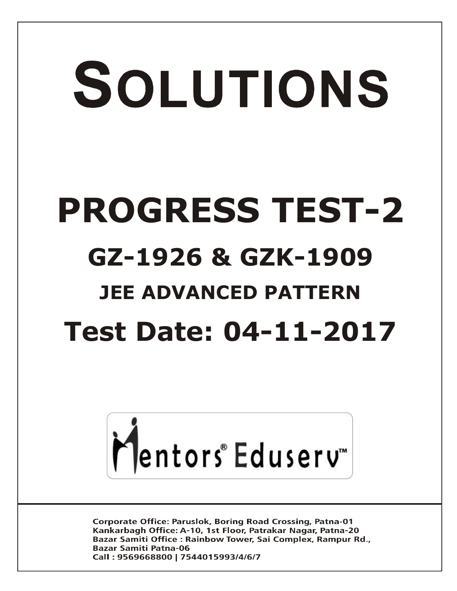# SOLUTIONS **PROGRESS TEST-2 GZ-1926 & GZK-1909 JEE ADVANCED PATTERN Test Date: 04-11-2017**



**Corporate Office: Paruslok, Boring Road Crossing, Patna-01** Kankarbagh Office: A-10, 1st Floor, Patrakar Nagar, Patna-20 Bazar Samiti Office: Rainbow Tower, Sai Complex, Rampur Rd., **Bazar Samiti Patna-06** Call: 9569668800 | 7544015993/4/6/7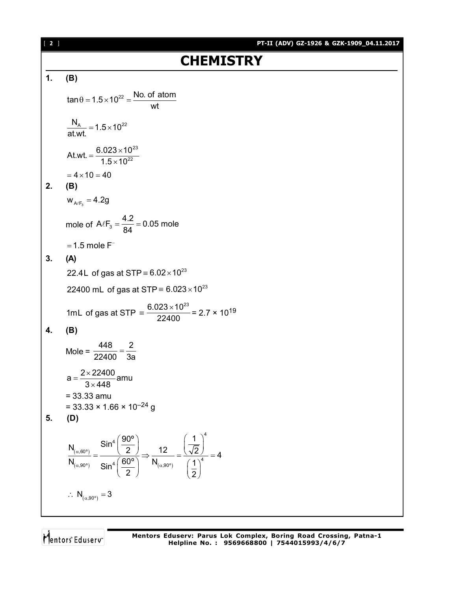**1. (B)**  $\tan \theta = 1.5 \times 10^{22} = \frac{\text{No. of atom}}{1.5 \times 10^{22}}$  $\theta$  = 1.5  $\times$  10<sup>22</sup> =  $\frac{1}{2}$  $\frac{N_A}{1.1}$  = 1.5 × 10<sup>22</sup>

at.wt.  
At.wt. = 
$$
\frac{6.023 \times 10^{23}}{1.5 \times 10^{22}}
$$

$$
= 4 \times 10 = 40
$$

 $=1.5\times1$ 

$$
2. (B)
$$

 $W_{A\ell F_3} = 4.2g$ 

mole of  $A\ell F_3 = \frac{4.2}{94} = 0.05$  mole 84  $\ell F_3 = \frac{1.2}{24} = 0$ 

 $=$  1.5 mole  $F^-$ 

#### **3. (A)**

22.4L of gas at STP  $\equiv 6.02 \times 10^{23}$ 

22400 mL $\,$  of gas at STP  $\equiv 6.023\times 10^{23}$ 

1mL of gas at STP =  $\frac{6.023 \times 10^{23}}{0.00100}$ 22400  $\frac{\times 10^{23}}{100}$  = 2.7 × 10<sup>19</sup>

wt

### **4. (B)**

Mole = 
$$
\frac{448}{22400} = \frac{2}{3a}
$$
  
\na = 
$$
\frac{2 \times 22400}{3 \times 448}
$$
amu  
\n= 33.33 amu  
\n= 33.33 × 1.66 × 10<sup>-24</sup> g  
\n(D)

$$
5. (
$$

$$
\frac{N_{(\alpha,60^\circ)}}{N_{(\alpha,90^\circ)}} = \frac{\text{Sin}^4\left(\frac{90^\circ}{2}\right)}{\text{Sin}^4\left(\frac{60^\circ}{2}\right)} \Rightarrow \frac{12}{N_{(\alpha,90^\circ)}} = \frac{\left(\frac{1}{\sqrt{2}}\right)^4}{\left(\frac{1}{2}\right)^4} = 4
$$
  

$$
\therefore N_{(\alpha,90^\circ)} = 3
$$

Mentors Eduserv

[ **2** ] **PT-II (ADV) GZ-1926 & GZK-1909\_04.11.2017**

## **CHEMISTRY**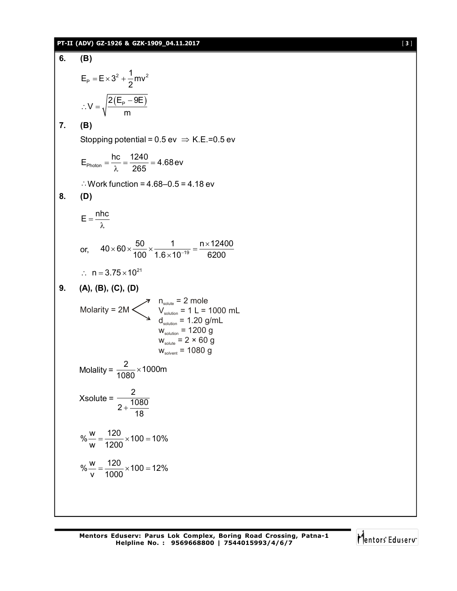#### **PT-II (ADV) GZ-1926 & GZK-1909\_04.11.2017** [ **3** ]

6. **(B)**  
\nE<sub>p</sub> = E×3<sup>2</sup> + 
$$
\frac{1}{2}
$$
mv<sup>2</sup>  
\n∴ V =  $\sqrt{\frac{2(E_p - 9E)}{m}}$   
\n7. **(B)**  
\nStopping potential = 0.5 ev ⇒ K.E.=0.5 ev  
\nE<sub>photon</sub> =  $\frac{hc}{λ}$  =  $\frac{1240}{265}$  = 4.68 ev  
\n∴ Work function = 4.68-0.5 = 4.18 ev  
\n8. **(D)**  
\nE =  $\frac{nhc}{λ}$   
\nor, 40×60× $\frac{50}{100}$  ×  $\frac{1}{1.6 \times 10^{-19}}$  =  $\frac{n \times 12400}{6200}$   
\n∴ n = 3.75×10<sup>21</sup>  
\n9. **(A), (B), (C), (D)**  
\nMolarity = 2M ×  $\frac{n_{\text{solution}}}{V_{\text{solution}}}$  = 2 mole  
\n $V_{\text{solution}} = 120$  g/mL  
\n $V_{\text{solution}} = 1200$  g  
\nW<sub>solute</sub> = 2 × 60 g  
\nW<sub>solvent</sub> = 1080 g  
\nMolality =  $\frac{2}{1080}$  × 1000m  
\nXsolute =  $\frac{2}{2 + \frac{1080}{18}}$   
\n%  $\frac{w}{v} = \frac{120}{1200}$  × 100 = 10%  
\n%  $\frac{w}{v} = \frac{120}{1000}$  × 100 = 12%

**Mentors Eduserv: Parus Lok Complex, Boring Road Crossing, Patna-1 Helpline No. : 9569668800 | 7544015993/4/6/7**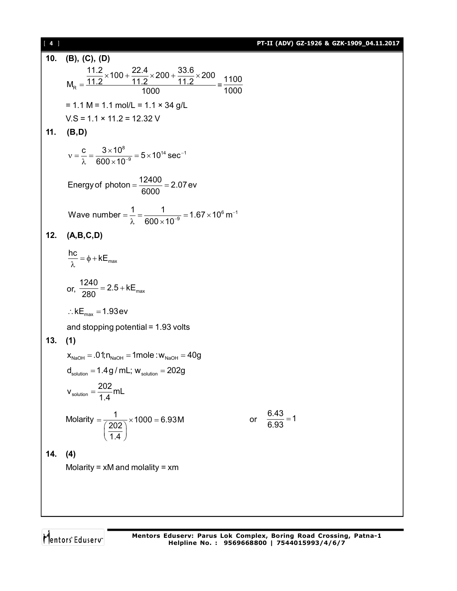| $[4]$ |                                                                                                                                 | PT-II (ADV) GZ-1926 & GZK-1909_04.11.2017 |
|-------|---------------------------------------------------------------------------------------------------------------------------------|-------------------------------------------|
| 10.   | (B), (C), (D)                                                                                                                   |                                           |
|       | $M_{\text{R}} = \frac{11.2 \times 100 + \frac{22.4}{11.2} \times 200 + \frac{33.6}{11.2} \times 200}{1000} = \frac{1100}{1000}$ |                                           |
|       | $= 1.1 M = 1.1 mol/L = 1.1 \times 34 g/L$                                                                                       |                                           |
|       | $VS = 1.1 \times 11.2 = 12.32$ V                                                                                                |                                           |
| 11.   | (B,D)                                                                                                                           |                                           |
|       | $v = \frac{c}{\lambda} = \frac{3 \times 10^8}{600 \times 10^{-9}} = 5 \times 10^{14} \text{ sec}^{-1}$                          |                                           |
|       | Energy of photon = $\frac{12400}{6000}$ = 2.07 ev                                                                               |                                           |
|       | Wave number = $\frac{1}{\lambda} = \frac{1}{600 \times 10^{-9}} = 1.67 \times 10^{6} \text{ m}^{-1}$                            |                                           |
| 12.   | (A,B,C,D)                                                                                                                       |                                           |
|       | $\frac{hc}{\lambda} = \phi + kE_{max}$                                                                                          |                                           |
|       | or, $\frac{1240}{280}$ = 2.5 + kE <sub>max</sub>                                                                                |                                           |
|       | $\therefore$ kE <sub>max</sub> = 1.93 ev                                                                                        |                                           |
|       | and stopping potential = 1.93 volts                                                                                             |                                           |
| 13.   | (1)                                                                                                                             |                                           |
|       | $x_{\text{NaOH}} = .01$ ; $n_{\text{NaOH}} = 1$ mole : $w_{\text{NaOH}} = 40$ g                                                 |                                           |
|       | $d_{\text{solution}} = 1.4 g/mL$ ; $w_{\text{solution}} = 202 g$                                                                |                                           |
|       | $v_{\text{solution}} = \frac{202}{1.4} \text{mL}$                                                                               |                                           |
|       | Molarity = $\frac{1}{\frac{202}{14}} \times 1000 = 6.93M$                                                                       | or $\frac{6.43}{6.93} = 1$                |
| 14.   | (4)                                                                                                                             |                                           |
|       | Molarity = $xM$ and molality = $xm$                                                                                             |                                           |
|       |                                                                                                                                 |                                           |
|       |                                                                                                                                 |                                           |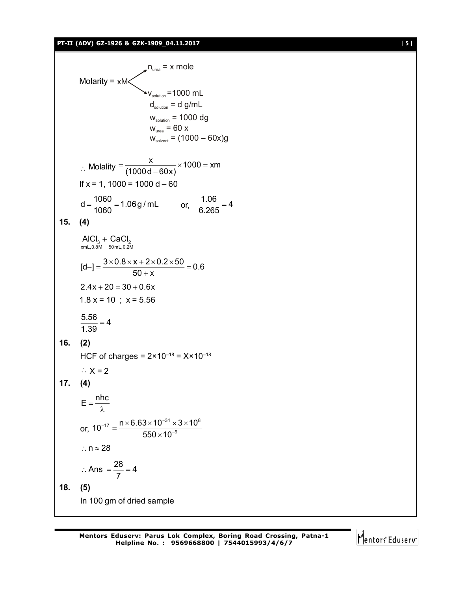#### **PT-II (ADV) GZ-1926 & GZK-1909\_04.11.2017** [ **5** ]

Molarity =  $xM$  $n_{\text{area}} = x$  mole  $\mathbf{v}_{\text{solution}}$  =1000 mL  $d_{\text{solution}} = d g/mL$  $w_{\text{solution}} = 1000 \text{ dg}$  $W_{\text{unea}} = 60 \times$  $W_{\text{solvent}} = (1000 - 60x)g$ : Molality  $\frac{x}{1000} \times 1000 = x$ m  $(1000d - 60x)$  $=\frac{R}{(1000 + 0.00 + 0.00)} \times 1000 =$  $\overline{a}$ If  $x = 1$ , 1000 = 1000 d – 60  $d = \frac{1060}{1000} = 1.06$  g / mL  $=\frac{1060}{1060}$  = 1.06 g / mL or,  $\frac{1.06}{6.265}$  = 4 6.265  $=$ **15. (4)**  $3 \times 10^{13}$   $3 \times 20^{12}$ <br>xmL,0.8M  $50$ mL,0.2M AlCl $_3$  + CaCl  $[d-]=\frac{3\times0.8\times x+2\times0.2\times50}{50}=0.6$  $50 + x$  $[-] = \frac{3 \times 0.8 \times x + 2 \times 0.2 \times 50}{50} = 0$  $^{+}$  $2.4x + 20 = 30 + 0.6x$  $1.8 x = 10$  ;  $x = 5.56$  $\frac{5.56}{1.38}$  = 4 1.39  $=$ **16. (2)** HCF of charges =  $2 \times 10^{-18} = X \times 10^{-18}$  $\therefore$  X = 2 **17. (4)**  $E = \frac{nhc}{\lambda}$ λ or,  $_{17}$  \_ n $\times$ 6.63 $\times$ 10 $^{-34}$   $\times$ 3 $\times$ 10 $^{8}$  $10^{-17} = \frac{n \times 6.63 \times 10^{-34} \times 3 \times 10}{550 \times 10^{-9}}$  $550\times 10$  $_{-17}$  \_ n  $\times$  6.63 $\times$  10<sup>-</sup> ÷  $=\frac{n\times 6.63\times 10^{-34}\times 3\times 1}{550\times 10^{-9}}$  $\times$  $\therefore$  n  $\approx$  28 Ans  $=\frac{28}{7}$  = 4 7  $\therefore$  Ans  $=\frac{28}{7}=4$ 

**18. (5)** In 100 gm of dried sample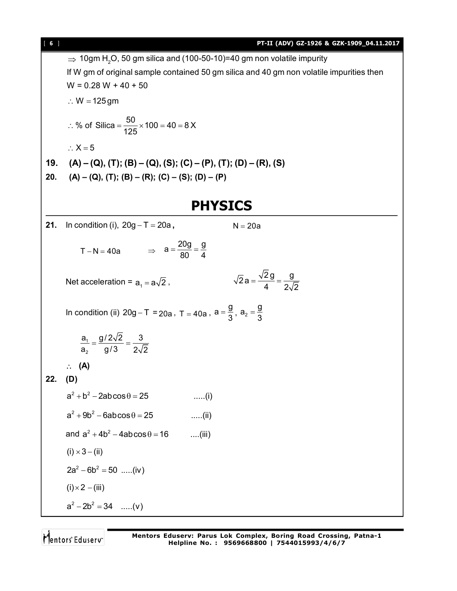$\Rightarrow$  10gm H<sub>2</sub>O, 50 gm silica and (100-50-10)=40 gm non volatile impurity If W gm of original sample contained 50 gm silica and 40 gm non volatile impurities then  $W = 0.28 W + 40 + 50$  $\therefore$  W = 125 gm % of Silica =  $\frac{50}{105} \times 100 = 40 = 8 \text{ X}$ 125 ∴ % of Silica =  $\frac{90}{105}$  × 100 = 40 = 8  $\therefore$  X = 5 **19. (A) – (Q), (T); (B) – (Q), (S); (C) – (P), (T); (D) – (R), (S) 20. (A) – (Q), (T); (B) – (R); (C) – (S); (D) – (P) PHYSICS 21.** In condition (i),  $20g - T = 20a$ ,  $N = 20a$  $T - N = 40a$   $\Rightarrow$  $a = \frac{20g}{20} = \frac{g}{4}$ 80 4  $=\frac{208}{100}=$ Net acceleration =  $a_1 = a\sqrt{2}$ ,  $\overline{2}a = \frac{\sqrt{2} g}{4} = \frac{g}{2}$ 4  $2\sqrt{2}$  $=\frac{1}{2}$  = -In condition (ii)  $20g - T = 20a$ ,  $T = 40a$ ,  $a = \frac{g}{2}$  $=\frac{9}{3}$ ,  $a_2 = \frac{9}{3}$ 3  $=$ 1 2  $a_1$  g/2 $\sqrt{2}$  3  $a_2$  g/3 2 $\sqrt{2}$  $=\frac{9.542}{9.542}=-$  **(A) 22. (D)**  $a^2 + b^2 - 2ab\cos\theta = 25$  .....(i)  $a^2 + 9b^2 - 6ab\cos\theta = 25$  .....(ii) and  $a^2 + 4b^2 - 4ab\cos\theta = 16$  ....(iii)  $(i) \times 3 - (ii)$  $2a^2 - 6b^2 = 50$  .....(iv)  $(i) \times 2 - (iii)$  $a^2 - 2b^2 = 34$  .....(v)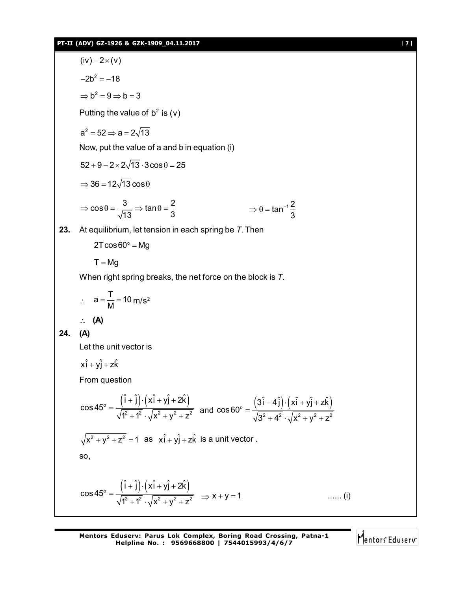#### **PT-II (ADV) GZ-1926 & GZK-1909\_04.11.2017** [ **7** ]

 $(iv) - 2 \times (v)$  $-2b^2 = -18$  $\Rightarrow$   $b^2 = 9 \Rightarrow b = 3$ Putting the value of  $b^2$  is (v)  $a^2 = 52 \Rightarrow a = 2\sqrt{13}$ Now, put the value of a and b in equation (i)  $52 + 9 - 2 \times 2\sqrt{13} \cdot 3\cos\theta = 25$  $\Rightarrow$  36 = 12 $\sqrt{13}$  cos  $\theta$  $\cos \theta = \frac{3}{\sqrt{2}} \Rightarrow \tan \theta = \frac{2}{2}$  $13 \t3 \t3$ ⇒  $\cos \theta = \frac{3}{\sqrt{13}}$  ⇒  $\tan \theta = \frac{2}{3}$  ⇒  $\Rightarrow \theta = \tan^{-1} \frac{2}{3}$ tan 3  $\Rightarrow$   $\theta$  = tan<sup>-</sup> **23.** At equilibrium, let tension in each spring be *T*. Then  $2T\cos 60^\circ = Mg$  $T = Mg$ When right spring breaks, the net force on the block is *T*.  $\mathcal{L}_{\bullet}$  $a = \frac{T}{M} = 10$  $=\frac{1}{M}$  = 10 m/s<sup>2</sup> **(A) 24. (A)** Let the unit vector is  $x\hat{i} + y\hat{j} + z\hat{k}$ From question  $_{\circ}$   $(1 + 1) \cdot (X1 + Y1 + 2K)$ 2  $\sqrt{2}$   $\sqrt{2}$   $\sqrt{2}$   $\sqrt{2}$  $\hat{i} + \hat{j}$ ) $\cdot (x\hat{i} + y\hat{j} + 2\hat{k})$ cos45  $1^2 + 1^2 \cdot \sqrt{x^2 + y^2 + z^2}$  $+j$ ) $\cdot$ (xi + yj + 2  $=$  $\frac{(31-4j)\cdot(x^2+y+2k)}{x^2+y^2+z^2}$  and  $\cos 60^\circ = \frac{(31-4j)\cdot(x^2+y+2k)}{\sqrt{3^2+4^2}\cdot\sqrt{x^2+y^2+z^2}}$ 2  $\sqrt{2}$   $\sqrt{2}$   $\sqrt{2}$   $\sqrt{2}$  $3\hat{i} - 4\hat{j}$   $\cdot$   $(x\hat{i} + y\hat{j} + z\hat{k})$ cos60  $3^2 + 4^2 \cdot \sqrt{x^2 + y^2 + z^2}$ – 4 j ) · ( x i + y j + z  $=$  $+4^{2} \cdot \sqrt{x^{2}+y^{2}+z}$  $\sqrt{x^2 + y^2 + z^2} = 1$  as  $x\hat{i} + y\hat{j} + z\hat{k}$  is a unit vector. so,  $_{\circ}$   $(1 + 1) \cdot (X1 + Y1 + 2K)$ 2  $\sqrt{2}$   $\sqrt{2}$   $\sqrt{2}$   $\sqrt{2}$  $\hat{i} + \hat{j}$ ) $\cdot (x\hat{i} + y\hat{j} + 2\hat{k})$ cos45  $1^2 + 1^2 \cdot \sqrt{x^2 + y^2 + z^2}$  $+j$ ) $\cdot$ (xi + yj + 2  $=$  $\frac{1}{x+1^2} \cdot \sqrt{x^2 + y^2 + z^2} \Rightarrow x + y = 1$  ...... (i)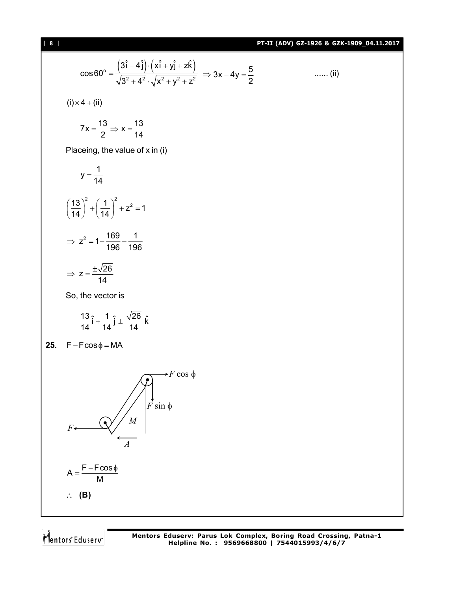#### [ **8** ] **PT-II (ADV) GZ-1926 & GZK-1909\_04.11.2017**

$$
\cos 60^{\circ} = \frac{(3\hat{i} - 4\hat{j}) \cdot (x\hat{i} + y\hat{j} + z\hat{k})}{\sqrt{3^2 + 4^2} \cdot \sqrt{x^2 + y^2 + z^2}} \Rightarrow 3x - 4y = \frac{5}{2}
$$
 ...... (ii)

 $(i) \times 4 + (ii)$ 

$$
7x = \frac{13}{2} \Rightarrow x = \frac{13}{14}
$$

Placeing, the value of x in (i)

$$
y = \frac{1}{14}
$$
  

$$
\left(\frac{13}{14}\right)^2 + \left(\frac{1}{14}\right)^2 + z^2 = 1
$$
  

$$
\Rightarrow z^2 = 1 - \frac{169}{196} - \frac{1}{196}
$$
  

$$
\Rightarrow z = \frac{\pm\sqrt{26}}{11}
$$

So, the vector is

14

$$
\frac{13}{14}\hat{i} + \frac{1}{14}\hat{j} \pm \frac{\sqrt{26}}{14}\hat{k}
$$

**25.**  $F - F \cos \phi = MA$ 



**(B)**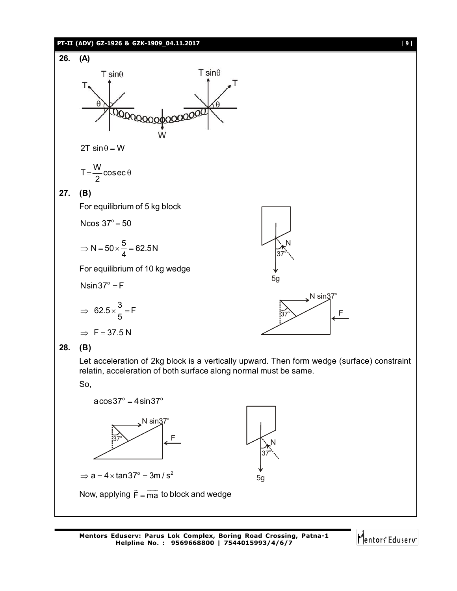#### **PT-II (ADV) GZ-1926 & GZK-1909\_04.11.2017** [ **9** ]



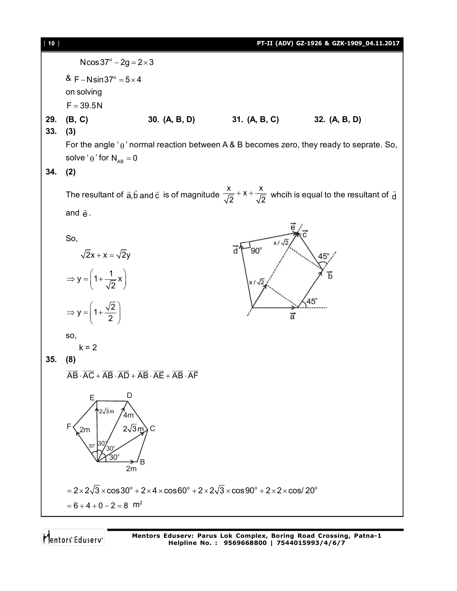| [10] |                                                                                                                                                                                                 |                                                                                                                                                  |                            | PT-II (ADV) GZ-1926 & GZK-1909_04.11.2017 |  |  |
|------|-------------------------------------------------------------------------------------------------------------------------------------------------------------------------------------------------|--------------------------------------------------------------------------------------------------------------------------------------------------|----------------------------|-------------------------------------------|--|--|
|      | $N\cos 37^{\circ} - 2g = 2 \times 3$                                                                                                                                                            |                                                                                                                                                  |                            |                                           |  |  |
|      | & F – Nsin 37° = $5 \times 4$<br>on solving<br>$F = 39.5N$                                                                                                                                      |                                                                                                                                                  |                            |                                           |  |  |
| 29.  | (B, C)                                                                                                                                                                                          | 30. (A, B, D) 31. (A, B, C)                                                                                                                      |                            | 32. (A, B, D)                             |  |  |
| 33.  | (3)<br>For the angle ' $\theta$ ' normal reaction between A & B becomes zero, they ready to seprate. So,                                                                                        |                                                                                                                                                  |                            |                                           |  |  |
|      | solve ' $\theta$ ' for $N_{AB} = 0$                                                                                                                                                             |                                                                                                                                                  |                            |                                           |  |  |
| 34.  | (2)                                                                                                                                                                                             |                                                                                                                                                  |                            |                                           |  |  |
|      | The resultant of $\vec{a}, \vec{b}$ and $\vec{c}$ is of magnitude $\frac{x}{\sqrt{2}} + x + \frac{x}{\sqrt{2}}$ whcih is equal to the resultant of $\vec{d}$                                    |                                                                                                                                                  |                            |                                           |  |  |
|      | and $\vec{e}$ .                                                                                                                                                                                 |                                                                                                                                                  |                            |                                           |  |  |
|      | So,                                                                                                                                                                                             |                                                                                                                                                  | $x/\sqrt{2}$<br>$90^\circ$ |                                           |  |  |
|      | $\sqrt{2}x + x = \sqrt{2}y$                                                                                                                                                                     |                                                                                                                                                  |                            | 45°                                       |  |  |
|      | $\Rightarrow$ y = $\left(1+\frac{1}{\sqrt{2}}x\right)$                                                                                                                                          |                                                                                                                                                  | $x/\sqrt{2}$               | Ђ                                         |  |  |
|      | $\Rightarrow y = \left(1 + \frac{\sqrt{2}}{2}\right)$                                                                                                                                           |                                                                                                                                                  | $\vec{a}$                  | $45^\circ$                                |  |  |
|      | SO,<br>$k = 2$                                                                                                                                                                                  |                                                                                                                                                  |                            |                                           |  |  |
| 35.  | (8)                                                                                                                                                                                             |                                                                                                                                                  |                            |                                           |  |  |
|      | $\overrightarrow{AB} \cdot \overrightarrow{AC} + \overrightarrow{AB} \cdot \overrightarrow{AD} + \overrightarrow{AB} \cdot \overrightarrow{AE} + \overrightarrow{AB} \cdot \overrightarrow{AF}$ |                                                                                                                                                  |                            |                                           |  |  |
|      | D<br>Ε<br>∱2√3m<br>4 <sub>m</sub><br>2 $\sqrt{3}$ m $\big>$<br>2m<br>$30^\circ$<br>$30^{\circ}$<br>$30^\circ$<br>2m                                                                             | C                                                                                                                                                |                            |                                           |  |  |
|      |                                                                                                                                                                                                 | $=2\times2\sqrt{3}\times\cos 30^{\circ} + 2\times4\times\cos 60^{\circ} + 2\times2\sqrt{3}\times\cos 90^{\circ} + 2\times2\times\cos 20^{\circ}$ |                            |                                           |  |  |
|      | $= 6 + 4 + 0 - 2 = 8$ m <sup>2</sup>                                                                                                                                                            |                                                                                                                                                  |                            |                                           |  |  |
|      |                                                                                                                                                                                                 |                                                                                                                                                  |                            |                                           |  |  |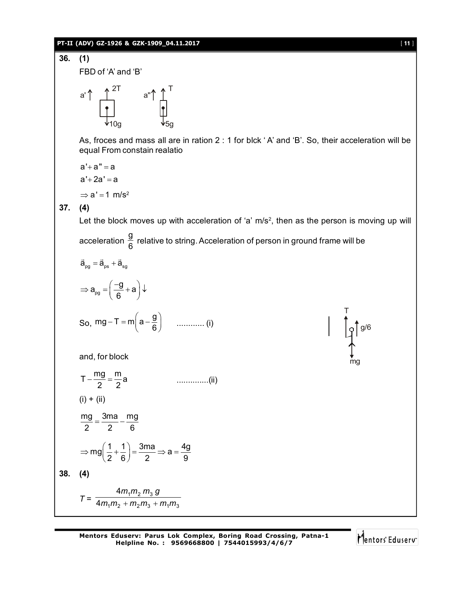#### **PT-II (ADV) GZ-1926 & GZK-1909\_04.11.2017** [ **11** ]

**36. (1)** FBD of 'A' and 'B' 2T  $.A A T$ 10g 5g a' a'' As, froces and mass all are in ration 2 : 1 for blck ' A' and 'B'. So, their acceleration will be equal From constain realatio a'+a" = a a'+2a' = a  $\Rightarrow$  a' = 1 m/s<sup>2</sup> **37. (4)** Let the block moves up with acceleration of 'a' m/s<sup>2</sup>, then as the person is moving up will acceleration g  $\frac{3}{6}$  relative to string. Acceleration of person in ground frame will be  $\vec{\mathbf{a}}_{\text{pg}} = \vec{\mathbf{a}}_{\text{ps}} + \vec{\mathbf{a}}_{\text{sg}}$  $\rightarrow$   $\rightarrow$   $\rightarrow$ pg  $a_{\rm no} = \left(\frac{-g}{2} + a\right)$  $\Rightarrow$  a<sub>pg</sub> =  $\left(\frac{-g}{6} + a\right)\downarrow$ So, mg – T = m $\left( a - \frac{g}{a} \right)$ 6  $-T = m\left(a - \frac{g}{6}\right)$  ............ (i) mg g/6 T and, for block  $T - \frac{mg}{2} = \frac{m}{2}a$ 2 2 ..............(ii)  $(i) + (ii)$ mg 3ma mg 2 2 6  $=\frac{344}{2}-1$  $mg\left(\frac{1}{2} + \frac{1}{2}\right) = \frac{3ma}{2} \Rightarrow a = \frac{4g}{2}$  $\Rightarrow$  mg $\left(\frac{1}{2} + \frac{1}{6}\right) = \frac{3ma}{2} \Rightarrow a = \frac{4g}{9}$ **38. (4)**  $T = \frac{1}{4m_1m_2 + m_2m_3 + m_1m_3}$  $1''$   $2''$   $3$ 4 4  $m_1 m_2 + m_2 m_3 + m_1 m$  $m_1 m_2 m_3 g$ +  $m_2 m_3$  +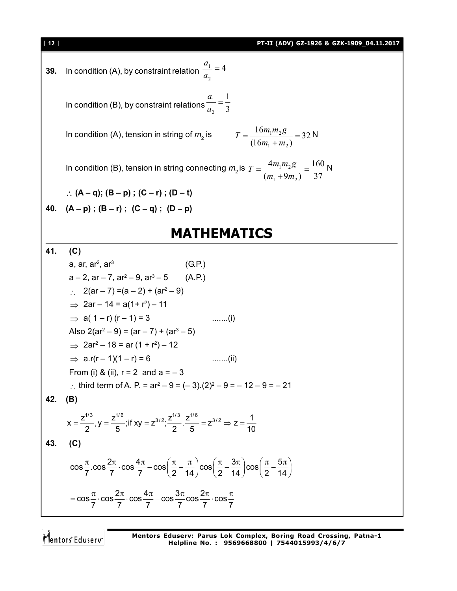**39.** In condition (A), by constraint relation 
$$
\frac{a_1}{a_2} = 4
$$

In condition (B), by constraint relations  $\frac{1}{a_2} = \frac{1}{3}$ 1 2  $\frac{1}{ }$  = *a a*

In condition (A), tension in string of  $m<sub>2</sub>$  is

is 
$$
T = \frac{16m_1m_2g}{(16m_1 + m_2)} = 32 \text{ N}
$$

In condition (B), tension in string connecting  $m<sub>2</sub>$  is 37 160  $(m_1 + 9m_2)$ 4  $1 + 2m_2$  $\frac{1^{1/25}}{2}$  =  $\ddot{}$  $=$  $m_1 + 9m$  $T = \frac{4m_1m_2g}{2m_1m_2} = \frac{160}{25}N$ 

$$
\therefore (A - q); (B - p); (C - r); (D - t)
$$

40. 
$$
(A-p)
$$
;  $(B-r)$ ;  $(C-q)$ ;  $(D-p)$ 

## **MATHEMATICS**

**41. (C)**

a, ar, ar<sup>2</sup>, ar<sup>3</sup> (G.P.)  
\na – 2, ar – 7, ar<sup>2</sup> – 9, ar<sup>3</sup> – 5 (A.P.)  
\n∴ 2(ar – 7) = (a – 2) + (ar<sup>2</sup> – 9)  
\n⇒ 2ar – 14 = a(1 + r<sup>2</sup>) – 11  
\n⇒ a(1 – r) (r – 1) = 3 (ar – 7) + (ar<sup>3</sup> – 5)  
\n⇒ 2ar<sup>2</sup> – 18 = ar (1 + r<sup>2</sup>) – 12  
\n⇒ ar(r – 1)(1 – r) = 6 (a – 3)  
\n∴ third term of A. P. = ar<sup>2</sup> – 9 = (– 3). (2)<sup>2</sup> – 9 = – 12 – 9 = – 21  
\n42. (B)  
\n
$$
x = \frac{z^{1/3}}{2}, y = \frac{z^{1/6}}{5}; \text{if } xy = z^{3/2}; \frac{z^{1/3}}{2}, \frac{z^{1/6}}{5} = z^{3/2} \Rightarrow z = \frac{1}{10}
$$
\n43. (C)  
\n
$$
\cos \frac{\pi}{7} \cdot \cos \frac{2\pi}{7} \cdot \cos \frac{4\pi}{7} - \cos \left(\frac{\pi}{2} - \frac{\pi}{14}\right) \cos \left(\frac{\pi}{2} - \frac{3\pi}{14}\right) \cos \left(\frac{\pi}{2} - \frac{5\pi}{14}\right)
$$
\n
$$
= \cos \frac{\pi}{7} \cdot \cos \frac{2\pi}{7} \cdot \cos \frac{4\pi}{7} - \cos \frac{3\pi}{7} \cos \frac{2\pi}{7} \cdot \cos \frac{\pi}{7}
$$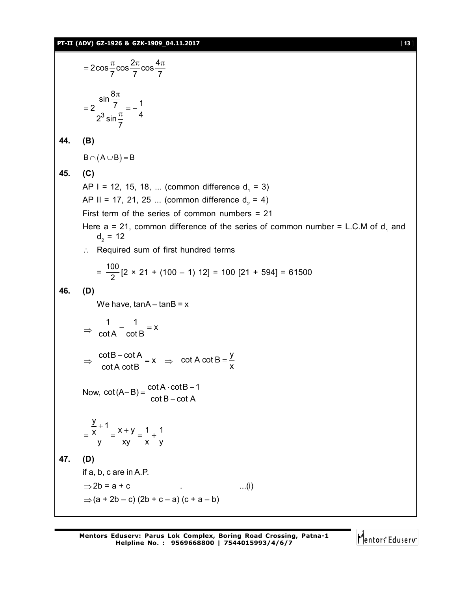$2\cos{\frac{\pi}{2}}\cos{\frac{2\pi}{2}}\cos{\frac{4\pi}{2}}$  $7 \,$   $7 \,$   $7 \,$   $7 \,$   $7 \,$   $7 \,$   $7 \,$   $7 \,$   $7 \,$   $7 \,$   $7 \,$   $7 \,$   $7 \,$   $7 \,$   $7 \,$   $7 \,$   $7 \,$   $7 \,$   $7 \,$   $7 \,$   $7 \,$   $7 \,$   $7 \,$   $7 \,$   $7 \,$   $7 \,$   $7 \,$   $7 \,$   $7 \,$   $7 \,$   $7 \,$   $7 \,$   $7 \,$   $7 \,$   $7 \,$   $7 \,$   $7 \,$  $=2\cos{\frac{\pi}{2}}\cos{\frac{2\pi}{2}}\cos{\frac{4\pi}{2}}$ 3  $2 \frac{\sin \frac{8\pi}{7}}{2} = -\frac{1}{4}$  $2^3 \sin \frac{\pi}{7}$  4 7  $\pi$  $=2\frac{1}{2^3\sin\pi}=-\frac{1}{4}$ **44. (B)**  $B \cap (A \cup B) = B$ **45. (C)** AP I = 12, 15, 18, ... (common difference  $d_1 = 3$ ) AP II = 17, 21, 25 ... (common difference  $d_2 = 4$ ) First term of the series of common numbers = 21 Here a = 21, common difference of the series of common number = L.C.M of  $d_1$  and  $d_2 = 12$  $\therefore$  Required sum of first hundred terms  $=\frac{100}{2}$  $\frac{38}{2}$ [2 × 21 + (100 – 1) 12] = 100 [21 + 594] = 61500 **46. (D)** We have,  $tanA - tanB = x$  $\Rightarrow$  $\frac{1}{1} - \frac{1}{1} = x$ cot A cot B  $-\frac{1}{15}$  = 1  $\Rightarrow$  $\frac{\cot B - \cot A}{\sin A} = x$ cot A cotB  $\frac{-\cot A}{\cosh B} = x \Rightarrow$ cot A cot B  $=$   $\frac{y}{x}$ x  $=$ Now,  $\cot(A-B) = \frac{\cot A \cdot \cot B + 1}{\cot B \cdot \cot A}$  $\cot\mathsf{B} - \cot\mathsf{A}$  $-B) = \frac{\cot A \cdot \cot B + 1}{12}$ - $\frac{y}{-}$  + 1  $\frac{x}{x}$  =  $\frac{x+y}{-}$  =  $\frac{1}{x}$  +  $\frac{1}{x}$ y xy x y  $=\frac{\frac{y}{x}+1}{x}=\frac{x+y}{x}=\frac{1}{x}+1$ **47. (D)** if a, b, c are in A.P.  $\Rightarrow$  2b = a + c ...(i)  $\Rightarrow$  (a + 2b – c) (2b + c – a) (c + a – b)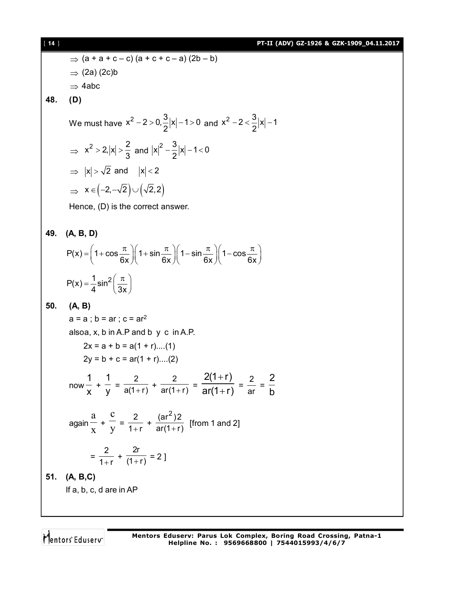11.4  
\n9.11 (AOV) 62-1926 & 62K-1909 04.11.2017  
\n⇒ (2a) (2c)b  
\n⇒ 4abc  
\n48. (D)  
\nWe must have 
$$
x^2 - 2 > 0
$$
,  $\frac{3}{2}|x| - 1 > 0$  and  $x^2 - 2 < \frac{3}{2}|x| - 1$   
\n⇒  $x^2 > 2$ ,  $|x| > \frac{2}{3}$  and  $|x|^2 - \frac{3}{2}|x| - 1 < 0$   
\n⇒  $|x| > \sqrt{2}$  and  $|x| < 2$   
\n⇒  $x \in (-2, -\sqrt{2}) \cup (\sqrt{2}, 2)$   
\nHence, (D) is the correct answer.  
\n49. (A, B, D)  
\n $P(x) = \left(1 + \cos \frac{\pi}{6x}\right) \left(1 + \sin \frac{\pi}{6x}\right) \left(1 - \sin \frac{\pi}{6x}\right) \left(1 - \cos \frac{\pi}{6x}\right)$   
\n $P(x) = \frac{1}{4} \sin^2 \left(\frac{\pi}{3x}\right)$   
\n50. (A, B)  
\na = a; b = ar; c = ar<sup>2</sup>  
\nalsoa, x, b in A.P. and b y c in A.P.  
\n2x = a + b = a(1 + r)...(1)  
\n2y = b + c = ar(1 + r)...(2)  
\nnow  $\frac{1}{x} + \frac{1}{y} = \frac{2}{a(1+r)} + \frac{2}{ar(1+r)} = \frac{2(1+r)}{ar(1+r)} = \frac{2}{ar} = \frac{2}{b}$   
\nagain  $\frac{a}{x} + \frac{c}{y} = \frac{2}{1+r} + \frac{(ar^2)2}{ar(1+r)}$  [from 1 and 2]  
\n $= \frac{2}{1+r} + \frac{2r}{(1+r)} = 2$ ]  
\n51. (A, B,C)  
\nIf a, b, c, d are in AP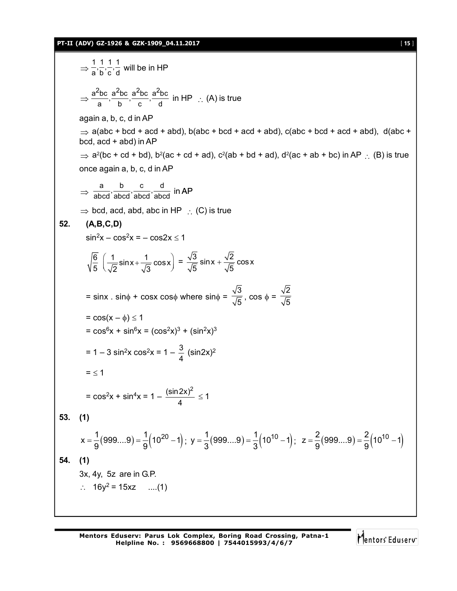#### **PT-II (ADV) GZ-1926 & GZK-1909\_04.11.2017** [ **15** ]

$$
\Rightarrow \frac{1}{a} \frac{1}{b} \cdot \frac{1}{c} \cdot \frac{1}{d} \text{ will be in HP}
$$
\n
$$
\Rightarrow \frac{a^2bc}{a} \cdot \frac{a^2bc}{b} \cdot \frac{a^2bc}{c} \cdot \frac{a^2bc}{d} \text{ in HP } \therefore (A) \text{ is true}
$$
\nagain a, b, c, d in AP  
\n
$$
\Rightarrow \text{a(abc + bcd + acd + abd), b(abc + bcd + acd + abd), c(abc + bcd + acd + abd), d(abc + bcd, acd + abd))
$$
\n
$$
\Rightarrow a^2(bc + cd + bd), b^2(ac + cd + ad), c^2(ab + bd + ad), d^2(ac + ab + bc) \text{ in AP } \therefore (B) \text{ is true}
$$
\nonce again a, b, c, d in AP  
\n
$$
\Rightarrow \frac{a}{abcd} \cdot \frac{b}{abcd} \cdot \frac{c}{abcd} \cdot \frac{d}{abcd} \text{ in AP}
$$
\n
$$
\Rightarrow \text{bcd, acd, abd, abc in HP } \therefore (C) \text{ is true}
$$
\n52. (A,B,C,D)  
\n
$$
\sin^2 x - \cos^2 x = -\cos 2x \le 1
$$
\n
$$
\sqrt{\frac{6}{5}} \left( \frac{1}{\sqrt{2}} \sin x + \frac{1}{\sqrt{3}} \cos x \right) = \frac{\sqrt{3}}{\sqrt{5}} \sin x + \frac{\sqrt{2}}{\sqrt{5}} \cos x
$$
\n
$$
= \sin x \cdot \sin \phi + \cos x \cos \phi \text{ where } \sin \phi = \frac{\sqrt{3}}{\sqrt{5}}, \cos \phi = \frac{\sqrt{2}}{\sqrt{5}}
$$
\n
$$
= \cos (x - \phi) \le 1
$$
\n
$$
= \cos^6 x + \sin^6 x = (\cos^2 x)^3 + (\sin^2 x)^3
$$
\n
$$
= 1 - 3 \sin^2 x \cos^2 x = 1 - \frac{3}{4} (\sin 2x)^2
$$
\n
$$
= \le 1
$$
\n
$$
= \cos^2 x + \sin^4 x = 1 - \frac{(\sin 2x)^2}{4} \le 1
$$
\n53. (1)  
\n
$$
x = \frac{1}{9} (999...9) = \frac{1}{9} (1
$$

**Mentors Eduserv: Parus Lok Complex, Boring Road Crossing, Patna-1 Helpline No. : 9569668800 | 7544015993/4/6/7**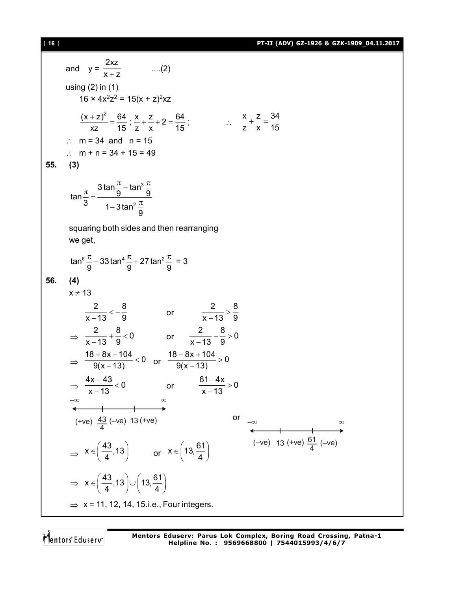[ **16** ] **PT-II (ADV) GZ-1926 & GZK-1909\_04.11.2017**

and 
$$
y = \frac{2xz}{x + z}
$$
 ....(2)  
\nusing (2) in (1)  
\n16 × 4x<sup>2</sup>z<sup>2</sup> = 15(x + z)<sup>2</sup>xz  
\n
$$
\frac{(x + z)^2}{xz} = \frac{64}{15} : \frac{x}{z} + \frac{z}{x} + 2 = \frac{64}{15} : ... \frac{x}{z} + \frac{z}{x} = \frac{34}{15}
$$
\n∴ m = 34 and n = 15  
\n∴ m + n = 34 + 15 = 49  
\n55. (3)  
\n
$$
\tan \frac{\pi}{3} = \frac{3 \tan \frac{\pi}{9} - \tan^3 \frac{\pi}{9}}{1 - 3 \tan^2 \frac{\pi}{9}}
$$
\nsquaring both sides and then rearranging  
\nwe get,  
\n
$$
\tan^6 \frac{\pi}{9} - 33 \tan^4 \frac{\pi}{9} + 27 \tan^2 \frac{\pi}{9} = 3
$$
\n56. (4)  
\n
$$
\frac{2}{x - 13} < -\frac{8}{9}
$$
 or  $\frac{2}{x - 13} > \frac{8}{9}$   
\n
$$
\Rightarrow \frac{2}{x - 13} + \frac{8}{9} < 0
$$
 or  $\frac{2}{x - 13} - \frac{8}{9} > 0$   
\n
$$
\Rightarrow \frac{18 + 8x - 104}{9(x - 13)} < 0
$$
 or  $\frac{16 - 8x + 104}{9(x - 13)} > 0$   
\n
$$
\Rightarrow \frac{4x - 43}{x - 13} < 0
$$
 or  $\frac{61 - 4x}{9(x - 13)} > 0$   
\n
$$
\Rightarrow \frac{x}{x - 13} < 0
$$
 or  $\frac{x}{x - 13} > 0$   
\n
$$
\Rightarrow (+ve) \frac{43}{4} (-ve) 13 (+ve)
$$
  
\n
$$
\Rightarrow x \in (\frac{43}{4} . 13) \cup (13, \frac{61}{4})
$$
  
\n
$$
\Rightarrow x = 11, 12, 14, 15. i.e., Four integers.
$$

Mentors<sup>e</sup> Eduserv<sup>-</sup>

**Mentors Eduserv: Parus Lok Complex, Boring Road Crossing, Patna-1 Helpline No. : 9569668800 | 7544015993/4/6/7**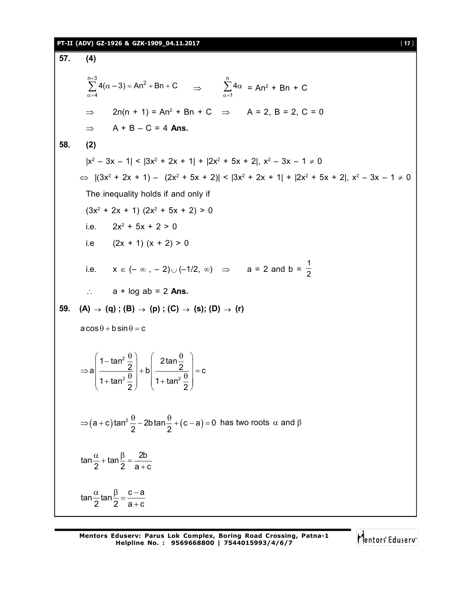#### **PT-II (ADV) GZ-1926 & GZK-1909\_04.11.2017** [ **17** ]

**57. (4)**  $^{+}$  $\sum_{\alpha=4}^{n+3} 4(\alpha-3) = An^2 + Bn + 0$  $\sum_{\alpha=1}^{3} 4(\alpha-3) = An^2 + Bn + C$   $\Rightarrow$   $\sum_{\alpha=1}^{n} 4\alpha$  $\int_{1}^{1} 4\alpha = An^2 + Bn + C$  $\Rightarrow$  2n(n + 1) = An<sup>2</sup> + Bn + C  $\Rightarrow$  A = 2, B = 2, C = 0  $\Rightarrow$  A + B – C = 4 Ans. **58. (2)**  $|x^2 - 3x - 1|$  <  $|3x^2 + 2x + 1|$  +  $|2x^2 + 5x + 2|$ ,  $x^2 - 3x - 1 \neq 0$  $\Leftrightarrow$   $|(3x^2 + 2x + 1) - (2x^2 + 5x + 2)| \le |3x^2 + 2x + 1| + |2x^2 + 5x + 2|, x^2 - 3x - 1 \ne 0$ The inequality holds if and only if  $(3x^2 + 2x + 1)$   $(2x^2 + 5x + 2) > 0$ i.e.  $2x^2 + 5x + 2 > 0$ i.e  $(2x + 1) (x + 2) > 0$ i.e.  $x \in (-\infty, -2) \cup (-1/2, \infty) \implies a = 2$  and  $b = \frac{1}{2}$ 2  $\therefore$  a + log ab = 2 **Ans. 59. (A)**  $\rightarrow$  **(g)**; **(B)**  $\rightarrow$  **(p)**; **(C)**  $\rightarrow$  **(s)**; **(D)**  $\rightarrow$  **(r)**  $a\cos\theta + b\sin\theta = c$ 2  $2^{\circ}$  | 1. ton<sup>2</sup> 1-tan<sup>2</sup> $\frac{0}{6}$  | 2tan  $a \left| \frac{2}{a} \right| + b \left| \frac{2}{a} \right| = c$ 1+ tan<sup>2</sup>  $\frac{0}{6}$  | 1+ tan 2)  $\sqrt{2}$  $\left(1-\tan^2{\frac{\theta}{2}}\right)$   $\left(2\tan{\frac{\theta}{2}}\right)$  $\Rightarrow a \frac{2}{1 + \tan^2 \theta} + b \frac{2}{1 + \tan^2 \theta} = 0$  $\left(1 + \tan^2 \frac{6}{2}\right)$   $\left(1 + \tan^2 \frac{6}{2}\right)$  $(a + c)$ tan<sup>2</sup>  $\frac{0}{2}$  – 2b tan  $\frac{0}{2}$  +  $(c - a)$  = 0 2  $2$  $\Rightarrow$   $(a+c)$  tan $\frac{a}{a}$   $\frac{a}{a}$   $\Rightarrow$  2b tan  $\frac{a}{a}$  +  $(c-a)$  = 0 has two roots  $\alpha$  and  $\beta$  $\tan\frac{\alpha}{2} + \tan\frac{\beta}{2} = \frac{2b}{2}$ 2  $2a + c$  $\frac{\alpha}{2}$  + tan  $\frac{\beta}{2}$  = - $\ddot{}$ tan  $\frac{\alpha}{2}$ tan  $\frac{\beta}{2} = \frac{c-a}{c}$  $2 \t2 \t3+\t c$  $\frac{\alpha}{2}$ tan $\frac{\beta}{2} = \frac{c - a}{2}$  $\ddot{}$